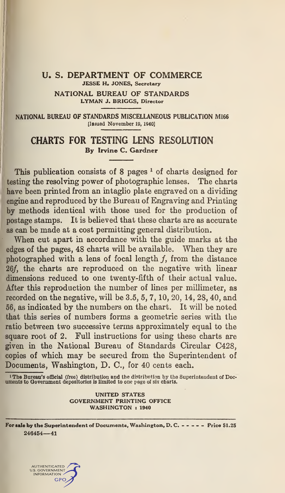## U. S. DEPARTMENT OF COMMERCE JESSE H. JONES, Secretary

NATIONAL BUREAU OF STANDARDS LYMAN J. BRIGGS, Director

NATIONAL BUREAU OF STANDARDS MISCELLANEOUS PUBLICATION MI66 [Issued November 19,1940]

## CHARTS FOR TESTING LENS RESOLUTION By Irvine C. Gardner

This publication consists of 8 pages<sup>1</sup> of charts designed for testing the resolving power of photographic lenses. The charts have been printed from an intaglio plate engraved on a dividing engine and reproduced by the Bureau of Engraving and Printing by methods identical with those used for the production of postage stamps. It is believed that these charts are as accurate as can be made at a cost permitting general distribution.

When cut apart in accordance with the guide marks at the edges of the pages, 48 charts will be available. When they are photographed with a lens of focal length /, from the distance 26f, the charts are reproduced on the negative with linear dimensions reduced to one twenty-fifth of their actual value. After this reproduction the number of lines per millimeter, as recorded on the negative, will be 3.5, 5, 7, 10, 20, 14, 28, 40, and 56, as indicated by the numbers on the chart. It will be noted that this series of numbers forms a geometric series with the ratio between two successive terms approximately equal to the square root of 2. Full instructions for using these charts are given in the National Bureau of Standards Circular C428, copies of which may be secured from the Superintendent of Documents, Washington, D. C, for 40 cents each.

<sup>1</sup>The Bureau's official (free) distribution and the distribution by the Superintendent of Doc-uments to Government depositories is limited to one page of six charts.

UNITED STATES GOVERNMENT PRINTING OFFICE WASHINGTON : <sup>1940</sup>

For sale by the Superintendent of Documents, Washington, D. C. – – – – – Price  $\$1.25$ 246454—41

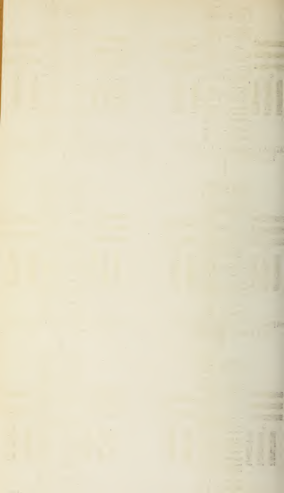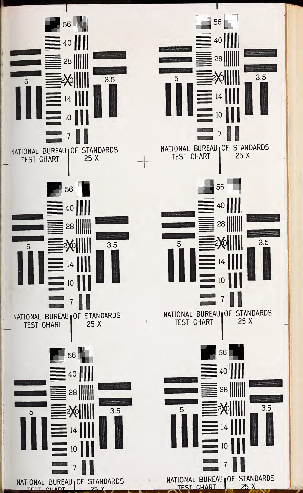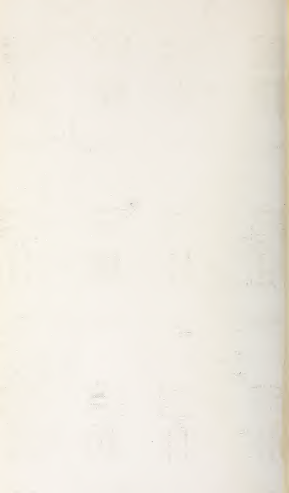